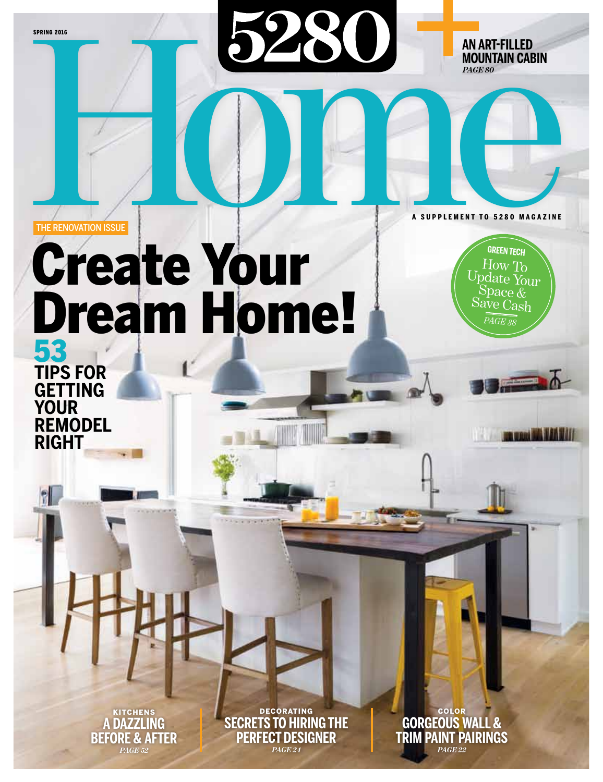**SPRING 2016** 

**an art-filled mountain cabin** *page 80*

#### THE RENOVATION ISSUE

# Create Your Dream Home! THE RENOVATION ISSUE

**green tech** How To<br>pdate Your Space  $\mathfrak{C}$ Save Cash *page 38*

**Contract MA 16h Will** 

**a supplement to 5280 MA G A Z I NE**

53 **tips FOR GETTING**<br>YOUR **REMODEL right**

> kitchens **a Dazzling before & after** *page 52*

**DECORATING secrets to hiring the perfect designer** *page 24*

color **Gorgeous Wall & trim paint pairings** *page 22*